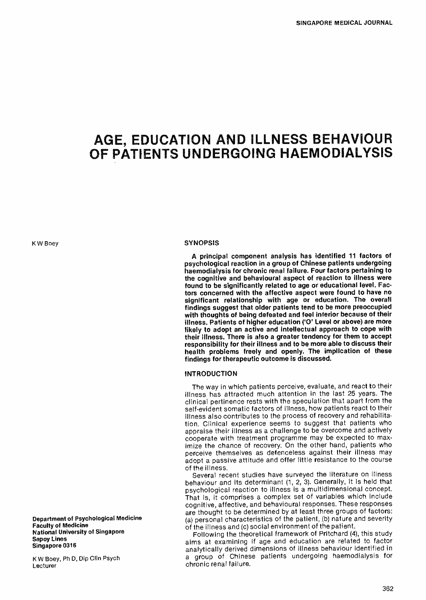# AGE, EDUCATION AND ILLNESS BEHAVIOUR OF PATIENTS UNDERGOING HAEMODIALYSIS

K W Boey

#### Department of Psychological Medicine Faculty of Medicine National University of Singapore Sepoy Lines Singapore 0316

<sup>K</sup>W Boey, Ph D, Dip Clin Psych Lecturer

#### **SYNOPSIS**

A principal component analysis has identified 11 factors of psychological reaction in a group of Chinese patients undergoing haemodialysis for chronic renal failure. Four factors pertaining to the cognitive and behavioural aspect of reaction to illness were found to be significantly related to age or educational level. Factors concerned with the affective aspect were found to have no significant relationship with age or education. The overall findings suggest that older patients tend to be more preoccupied with thoughts of being defeated and feel inferior because of their illness. Patients of higher education ('O' Level or above) are more likely to adopt an active and intellectual approach to cope with their illness. There is also a greater tendency for them to accept responsibility for their illness and to be more able to discuss their health problems freely and openly. The implication of these findings for therapeutic outcome is discussed.

## INTRODUCTION

The way in which patients perceive, evaluate, and react to their illness has attracted much attention in the last 25 years. The clinical pertinence rests with the speculation that apart from the self-evident somatic factors of illness, how patients react to their illness also contributes to the process of recovery and rehabilitation. Clinical experience seems to suggest that patients who appraise their illness as a challenge to be overcome and actively cooperate with treatment programme may be expected to maximize the chance of recovery. On the other hand, patients who perceive themselves as defenceless against their illness may adopt a passive attitude and offer little resistance to the course of the illness.

Several recent studies have surveyed the literature on illness behaviour and its determinant (1, 2, 3). Generally, it is held that psychological reaction to illness is a multidimensional concept. That is, it comprises a complex set of variables which include cognitive, affective, and behavioural responses. These responses are thought to be determined by at least three groups of factors: (a) personal characteristics of the patient, (b) nature and severity of the illness and (c) social environment of the patient.

Following the theoretical framework of Pritchard (4), this study aims at examining if age and education are related to factor analytically derived dimensions of illness behaviour identified in <sup>a</sup>group of Chinese patients undergoing haemodialysis for chronic renal failure.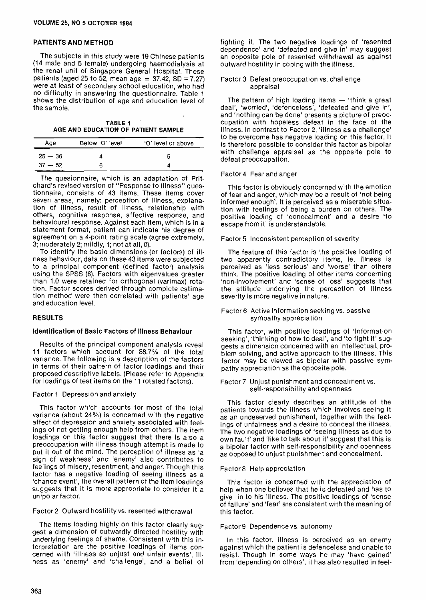## PATIENTS AND METHOD

The subjects in this study were 19 Chinese patients (14 male and 5 female) undergoing haemodialysis at the renal unit of Singapore General Hospital. These patients (aged 25 to 52, mean age =  $37.42$ , SD =  $7.27$ ) were at least of secondary school education, who had no difficulty in answering the questionnaire. Table <sup>1</sup>shows the distribution of age and education level of the sample.

TABLE 1 AGE AND EDUCATION OF PATIENT SAMPLE

| Age       | Below 'O' level | 'O' level or above |
|-----------|-----------------|--------------------|
| $25 - 36$ |                 | n                  |
| $37 - 52$ |                 |                    |

The quesionnaire, which is an adaptation of Prit - chard's revised version of "Response to Illness" questionnaire, consists of 43 items. These items cover seven areas, namely: perception of illness, explanation of illness, result of illness, relationship with others, cognitive response, affective response, and behavioural response. Against each item, which is in a statement format, patient can indicate his degree of agreement on a 4 -point rating scale (agree extremely, 3; moderately 2; mildly, 1; not at all, 0).

To identify the basic dimensions (or factors) of illness behaviour, data on these 43 items were subjected to a principal component (defined factor) analysis using the SPSS (6). Factors with eigenvalues greater than 1.0 were retained for orthogonal (varimax) rotation. Factor scores derived through complete estimation method were then correlated with patients' age and education level.

### RESULTS

## Identification of Basic Factors of Illness Behaviour

Results of the principal component analysis reveal 11 factors which account for 88.7% of the total variance. The following is a description of the factors in terms of their pattern of factor loadings and their proposed descriptive labels. (Please refer to Appendix for loadings of test items on the 11 rotated factors).

### Factor 1 Depression and anxiety

This factor which accounts for most of the total variance (about 24%) is concerned with the negative affect of depression and anxiety associated with feelings of not getting enough help from others. The item loadings on this factor suggest that there is also a preoccupation with illness though attempt is made to put it out of the mind. The perception of illness as 'a sign of weakness' and 'enemy' also contributes to feelings of misery, resentment, and anger. Though this factor has a negative loading of seeing illness as a 'chance event', the overall pattern of the item loadings suggests that it is more appropriate to consider it a unipolar factor.

## Factor 2 Outward hostility vs. resented withdrawal

The items loading highly on this factor clearly suggest a dimension of outwardly directed hostility with underlying feelings of shame. Consistent with this interpretation are the positive loadings of items concerned with 'illness as unjust and unfair events', illness as 'enemy' and 'challenge', and a belief of

fighting it. The two negative loadings of 'resented dependence' and 'defeated and give in' may suggest an opposite pole of resented withdrawal as against outward hostility in coping with the illness.

#### Factor 3 Defeat preoccupation vs. challenge appraisal

The pattern of high loading items  $-$  'think a great deal', 'worried', 'defenceless', 'defeated and give in', and 'nothing can be done' presents a picture of preoccupation with hopeless defeat in the face of the illness. In contrast to Factor 2, 'illness as a challenge' to be overcome has negative loading on this factor. It is therefore possible to consider this factor as bipolar with challenge appraisal as the opposite pole to defeat preoccupation.

#### Factor 4 Fear and anger

This factor is obviously concerned with the emotion of fear and anger, which may be a result of 'not being informed enough'. It is perceived as a miserable situation with feelings of being a burden on others. The positive loading of 'concealment' and a desire `to escape from it' is understandable.

### Factor 5 Inconsistent perception of severity

The feature of this factor is the positive loading of two apparently contradictory items, ie. illness is perceived as 'less serious' and 'worse' than others think. The positive loading of other items concerning 'non-involvement' and 'sense of loss' suggests that the attitude underlying the perception of illness severity is more negative in nature.

#### Factor 6 Active information seeking vs. passive sympathy appreciation

This factor, with positive loadings of 'information seeking', 'thinking of how to deal', and 'to fight it' suggests a dimension concerned with an intellectual, problem solving, and active approach to the illness. This factor may be viewed as bipolar with passive sympathy appreciation as the opposite pole.

#### Factor 7 Unjust punishment and concealment vs. self-responsibility and openness

This factor clearly describes an attitude of the patients towards the illness which involves seeing it as an undeserved punishment, together with the feelings of unfairness and a desire to conceal the illness. The two negative loadings of 'seeing illness as due to own fault' and 'like to talk about it' suggest that this is a bipolar factor with self-responsibility and openness as opposed to unjust punishment and concealment.

### Factor8 Help appreciation

This factor is concerned with the appreciation of help when one believes that he is defeated and has to give in to his illness. The positive loadings of 'sense of failure' and 'fear' are consistent with the meaning of this factor.

#### Factor 9 Dependence vs. autonomy

In this factor, illness is perceived as an enemy against which the patient is defenceless and unable to resist. Though in some ways he may 'have gained' from 'depending on others', it has also resulted in feel-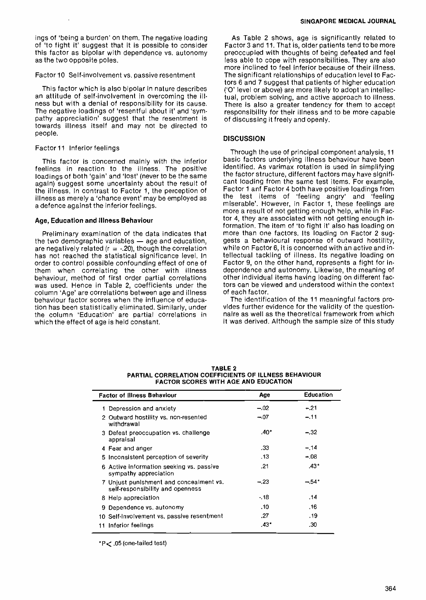ings of 'being a burden' on them. The negative loading of 'to fight it' suggest that it is possible to consider this factor as bipolar with dependence vs. autonomy as the two opposite poles.

#### Factor 10 Self-involvement vs. passive resentment

This factor which is also bipolar in nature describes an attitude of self-involvement in overcoming the illness but with a denial of responsibility for its cause. The negative loadings of 'resentful about it' and 'sympathy appreciation' suggest that the resentment is towards illness itself and may not be directed to people.

### Factor 11 Inferior feelings

This factor is concerned mainly with the inferior feelings in reaction to the illness. The positive loadings of both 'gain' and 'lost' (never to be the same again) suggest some uncertainty about the result of the illness. In contrast to Factor 1, the perception of illness as merely a 'chance event' may be employed as <sup>a</sup>defence against the inferior feelings.

### Age, Education and Illness Behaviour

Preliminary examination of the data indicates that the two demographic variables  $-$  age and education, are negatively related ( $r = -20$ ), though the correlation has not reached the statistical significance level. In order to control possible confounding effect of one of them when correlating the other with illness behaviour, method of first order partial correlations was used. Hence in Table 2, coefficients under the column 'Age' are correlations between age and illness behaviour factor scores when the influence of education has been statistically eliminated. Similarly, under the column 'Education' are partial correlations in which the effect of age is held constant.

As Table 2 shows, age is significantly related to Factor 3 and 11. That is, older patients tend to be more preoccupied with thoughts of being defeated and feel less able to cope with responsibilities. They are also more inclined to feel inferior because of their illness. The significant relationships of education level to Factors 6 and 7 suggest that patients of higher education ('O' level or above) are more likely to adopt an intellectual, problem solving, and active approach to illness. There is also a greater tendency for them to accept responsibility for their illness and to be more capable of discussing it freely and openly.

## **DISCUSSION**

Through the use of principal component analysis, <sup>11</sup> basic factors underlying illness behaviour have been identified. As varimax rotation is used in simplifying the factor structure, different factors may have significant loading from the same test items. For example, Factor 1 anf Factor 4 both have positive loadings from the test items of 'feeling angry' and 'feeling miserable'. However, in Factor 1, these feelings are more a result of not getting enough help, while in Factor 4, they are associated with not getting enough information. The item of 'to fight it' also has loading on more than one factors. Its loading on Factor 2 suggests a behavioural response of outward hostility, while on Factor 6, it is concerned with an active and intellectual tackling of illness. Its negative loading on Factor 9, on the other hand, represents a fight for independence and autonomy. Likewise, the meaning of other individual items having loading on different factors can be viewed and understood within the context of each factor.

The identification of the 11 meaningful factors provides further evidence for the validity of the questionnaire as well as the theoretical framework from which it was derived. Although the sample size of this study

| <b>Factor of Illness Behaviour</b> |                                                                             | Age           | Education |
|------------------------------------|-----------------------------------------------------------------------------|---------------|-----------|
|                                    | Depression and anxiety                                                      | $-.02$        | $-21$     |
|                                    | 2 Outward hostility vs. non-resented<br>withdrawal                          | $-07$         | $-11$     |
|                                    | 3 Defeat preoccupation vs. challenge<br>appraisal                           | $.40^{\circ}$ | $-.32$    |
|                                    | 4 Fear and anger                                                            | .33           | $-.14$    |
|                                    | 5 Inconsistent perception of severity                                       | . 13          | $-08$     |
|                                    | 6 Active information seeking vs. passive<br>sympathy appreciation           | .21           | $.43*$    |
|                                    | 7 Unjust punishment and concealment vs.<br>self-responsibility and openness | $-.23$        | $-54*$    |
|                                    | 8 Help appreciation                                                         | $-18$         | -14       |
| 9                                  | Dependence vs. autonomy                                                     | .10           | .16       |
|                                    | 10 Self-involvement vs. passive resentment                                  | .27           | -19       |
|                                    | 11 Inferior feelings                                                        | .431          | -30       |

TABLE 2 PARTIAL CORRELATION COEFFICIENTS OF ILLNESS BEHAVIOUR FACTOR SCORES WITH AGE AND EDUCATION

\*p< .05 (one -tailed test)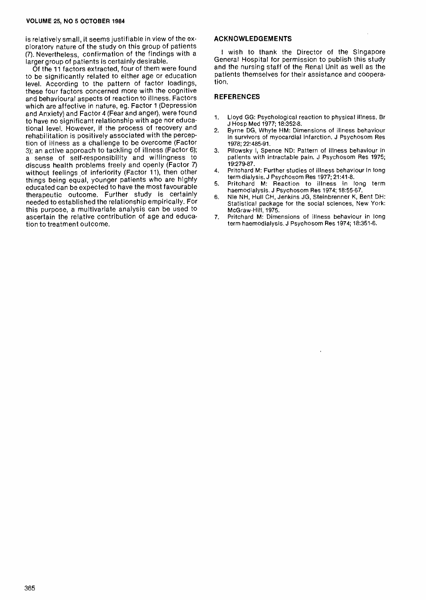is relatively small, it seems justifiable in view of the exploratory nature of the study on this group of patients (7). Nevertheless, confirmation of the findings with a larger group of patients is certainly desirable.

Of the 11 factors extracted, four of them were found to be significantly related to either age or education level. According to the pattern of factor loadings, these four factors concerned more with the cognitive and behavioural aspects of reaction to illness. Factors which are affective in nature, eg. Factor 1 (Depression and Anxiety) and Factor 4 (Fear and anger), were found to have no significant relationship with age nor educational level. However, if the process of recovery and  $\overline{a}$ rehabilitation is positively associated with the perception of illness as a challenge to be overcome (Factor 3); an active approach to tackling of illness (Factor 6); a sense of self-responsibility and willingness to discuss health problems freely and openly (Factor 7) without feelings of inferiority (Factor 11), then other 4. things being equal, younger patients who are highly educated can be expected to have the most favourable therapeutic outcome. Further study is certainly  $_{6}$ needed to established the relationship empirically. For this purpose, a multivariate analysis can be used to ascertain the relative contribution of age and education to treatment outcome.

## ACKNOWLEDGEMENTS

<sup>I</sup>wish to thank the Director of the Singapore General Hospital for permission to publish this study and the nursing staff of the Renal Unit as well as the patients themselves for their assistance and cooperation.

## **REFERENCES**

- 1. Lloyd GG: Psychological reaction to physical illness. Br J Hosp Med 1977; 18:352-8.
- Byrne DG, Whyte HM: Dimensions of illness behaviour in survivors of myocardial infarction. J Psychosom Res 1978; 22:485-91.
- 3. Pilowsky I, Spence ND: Pattern of illness behaviour in patients with intractable pain. J Psychosom Res 1975; 19:279-87.
- 4. Pritchard M: Further studies of illness behaviour in long term dialysis. J Psychosom Res 1977; 21:41-8.
- 5. Pritchard M: Reaction to illness in long term haemodialysis. J Psychosom Res 1974; 18:55-67.
- 6. Nie NH, Hull CH, Jenkins JG, Steinbrenner K, Bent DH: Statistical package for the social sciences, New York: McGraw-Hill, 1975.
- 7. Pritchard M: Dimensions of illness behaviour in long term haemodialysis. J Psychosom Res 1974; 18:351-6.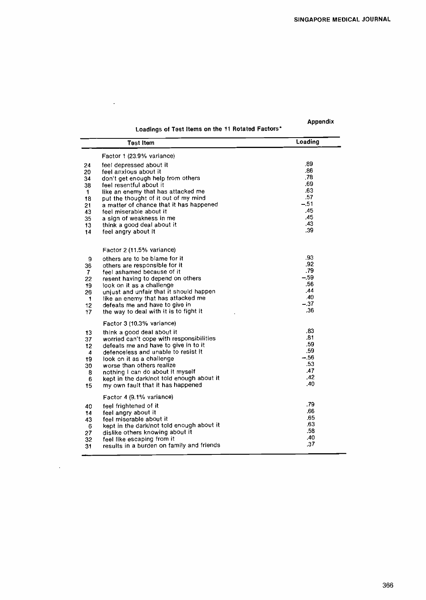Appendix

## Loadings of Test Items on the 11 Rotated Factors\*

 $\mathcal{L}$ 

| <b>Test Item</b>        |                                                                                  | Loading       |
|-------------------------|----------------------------------------------------------------------------------|---------------|
|                         | Factor 1 (23.9% variance)                                                        | .89           |
| 24<br>20                | feel depressed about it<br>feel anxious about it                                 | .86           |
| 34                      | don't get enough help from others                                                | .78           |
| 38                      | feel resentful about it                                                          | .69           |
| $\mathbf{1}$            | like an enemy that has attacked me                                               | .63           |
| 18                      | put the thought of it out of my mind                                             | .57<br>$-.51$ |
| 21                      | a matter of chance that it has happened<br>feel miserable about it               | .45           |
| 43<br>35                | a sign of weakness in me                                                         | .45           |
| 13                      | think a good deal about it                                                       | .43           |
| 14                      | feel angry about it                                                              | .39           |
|                         | Factor 2 (11.5% variance)                                                        |               |
| 9                       | others are to be blame for it                                                    | .93           |
| 36                      | others are responsible for it                                                    | .92           |
| 7                       | feel ashamed because of it                                                       | .79           |
| 22                      | resent having to depend on others                                                | $-.59$<br>.56 |
| 19<br>26                | look on it as a challenge<br>unjust and unfair that it should happen             | .44           |
| $\blacktriangleleft$    | like an enemy that has attacked me                                               | .40           |
| 12                      | defeats me and have to give in                                                   | $-.37$        |
| 17                      | the way to deal with it is to fight it                                           | .36           |
|                         | Factor 3 (10.3% variance)                                                        |               |
| 13                      | think a good deal about it                                                       | .83<br>.81    |
| 37<br>12 <sub>12</sub>  | worried can't cope with responsibilities<br>defeats me and have to give in to it | .59           |
| $\overline{\mathbf{4}}$ | defenceless and unable to resist it                                              | .59           |
| 19                      | took on it as a challenge                                                        | $-.56$        |
| 30                      | worse than others realize                                                        | .53           |
| 8                       | nothing I can do about it myself                                                 | <b>A7</b>     |
| 6                       | kept in the dark/not told enough about it                                        | .42<br>.40    |
| 15                      | my own fault that it has happened                                                |               |
|                         | Factor 4 (9.1% variance)                                                         |               |
| 40                      | feel frightened of it                                                            | .79<br>.66    |
| 14                      | feel angry about it<br>feel miserable about it                                   | .65           |
| 43<br>6                 | kept in the dark/not told enough about it                                        | .63           |
| 27                      | dislike others knowing about it                                                  | .58           |
| 32                      | feel like escaping from it                                                       | .40           |
| 31                      | results in a burden on family and friends                                        | .37           |